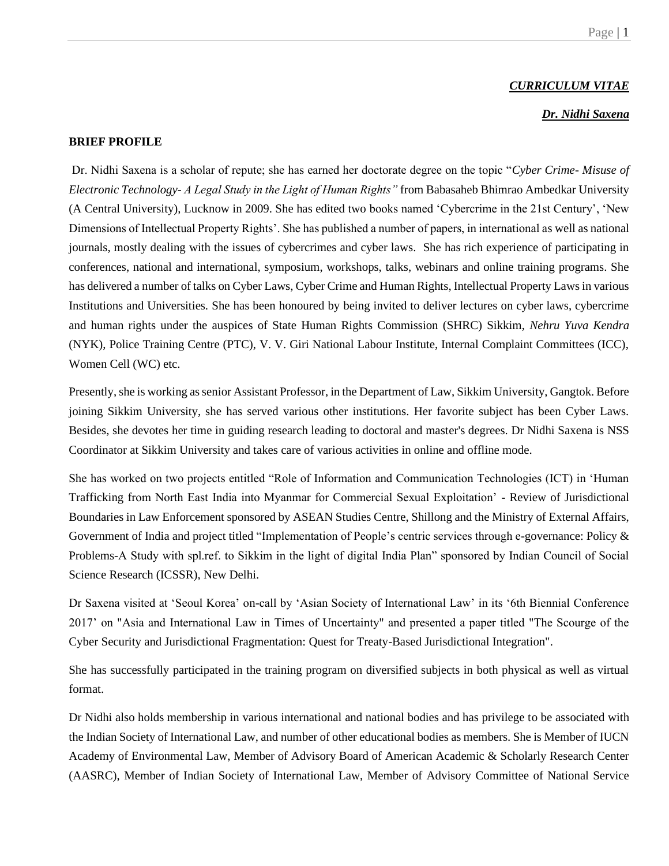#### *CURRICULUM VITAE*

# *Dr. Nidhi Saxena*

#### **BRIEF PROFILE**

Dr. Nidhi Saxena is a scholar of repute; she has earned her doctorate degree on the topic "*Cyber Crime- Misuse of Electronic Technology- A Legal Study in the Light of Human Rights"* from Babasaheb Bhimrao Ambedkar University (A Central University), Lucknow in 2009. She has edited two books named 'Cybercrime in the 21st Century', 'New Dimensions of Intellectual Property Rights'. She has published a number of papers, in international as well as national journals, mostly dealing with the issues of cybercrimes and cyber laws. She has rich experience of participating in conferences, national and international, symposium, workshops, talks, webinars and online training programs. She has delivered a number of talks on Cyber Laws, Cyber Crime and Human Rights, Intellectual Property Laws in various Institutions and Universities. She has been honoured by being invited to deliver lectures on cyber laws, cybercrime and human rights under the auspices of State Human Rights Commission (SHRC) Sikkim, *Nehru Yuva Kendra*  (NYK), Police Training Centre (PTC), V. V. Giri National Labour Institute, Internal Complaint Committees (ICC), Women Cell (WC) etc.

Presently, she is working as senior Assistant Professor, in the Department of Law, Sikkim University, Gangtok. Before joining Sikkim University, she has served various other institutions. Her favorite subject has been Cyber Laws. Besides, she devotes her time in guiding research leading to doctoral and master's degrees. Dr Nidhi Saxena is NSS Coordinator at Sikkim University and takes care of various activities in online and offline mode.

She has worked on two projects entitled "Role of Information and Communication Technologies (ICT) in 'Human Trafficking from North East India into Myanmar for Commercial Sexual Exploitation' - Review of Jurisdictional Boundaries in Law Enforcement sponsored by ASEAN Studies Centre, Shillong and the Ministry of External Affairs, Government of India and project titled "Implementation of People's centric services through e-governance: Policy & Problems-A Study with spl.ref. to Sikkim in the light of digital India Plan" sponsored by Indian Council of Social Science Research (ICSSR), New Delhi.

Dr Saxena visited at 'Seoul Korea' on-call by 'Asian Society of International Law' in its '6th Biennial Conference 2017' on "Asia and International Law in Times of Uncertainty" and presented a paper titled "The Scourge of the Cyber Security and Jurisdictional Fragmentation: Quest for Treaty-Based Jurisdictional Integration".

She has successfully participated in the training program on diversified subjects in both physical as well as virtual format.

Dr Nidhi also holds membership in various international and national bodies and has privilege to be associated with the Indian Society of International Law, and number of other educational bodies as members. She is Member of IUCN Academy of Environmental Law, Member of Advisory Board of American Academic & Scholarly Research Center (AASRC), Member of Indian Society of International Law, Member of Advisory Committee of National Service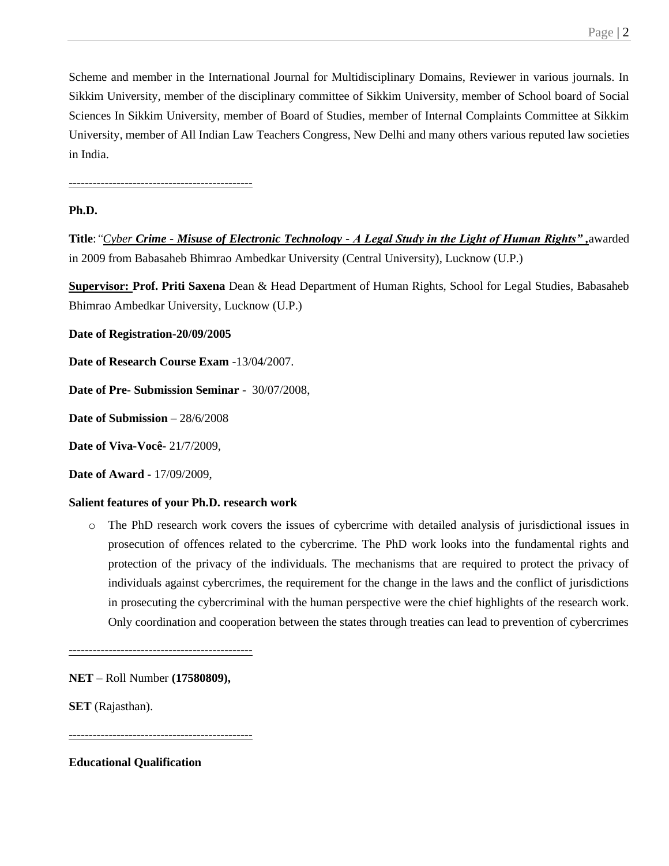Scheme and member in the International Journal for Multidisciplinary Domains, Reviewer in various journals. In Sikkim University, member of the disciplinary committee of Sikkim University, member of School board of Social Sciences In Sikkim University, member of Board of Studies, member of Internal Complaints Committee at Sikkim University, member of All Indian Law Teachers Congress, New Delhi and many others various reputed law societies in India.

----------------------------------------------

# **Ph.D.**

**Title**:*"Cyber Crime - Misuse of Electronic Technology - A Legal Study in the Light of Human Rights" ,*awarded in 2009 from Babasaheb Bhimrao Ambedkar University (Central University), Lucknow (U.P.)

**Supervisor: Prof. Priti Saxena** Dean & Head Department of Human Rights, School for Legal Studies, Babasaheb Bhimrao Ambedkar University, Lucknow (U.P.)

**Date of Registration-20/09/2005**

**Date of Research Course Exam** -13/04/2007.

**Date of Pre- Submission Seminar** - 30/07/2008,

**Date of Submission** – 28/6/2008

**Date of Viva-Você-** 21/7/2009,

**Date of Award** - 17/09/2009,

# **Salient features of your Ph.D. research work**

o The PhD research work covers the issues of cybercrime with detailed analysis of jurisdictional issues in prosecution of offences related to the cybercrime. The PhD work looks into the fundamental rights and protection of the privacy of the individuals. The mechanisms that are required to protect the privacy of individuals against cybercrimes, the requirement for the change in the laws and the conflict of jurisdictions in prosecuting the cybercriminal with the human perspective were the chief highlights of the research work. Only coordination and cooperation between the states through treaties can lead to prevention of cybercrimes

----------------------------------------------

**NET** – Roll Number **(17580809),**

**SET** (Rajasthan).

----------------------------------------------

**Educational Qualification**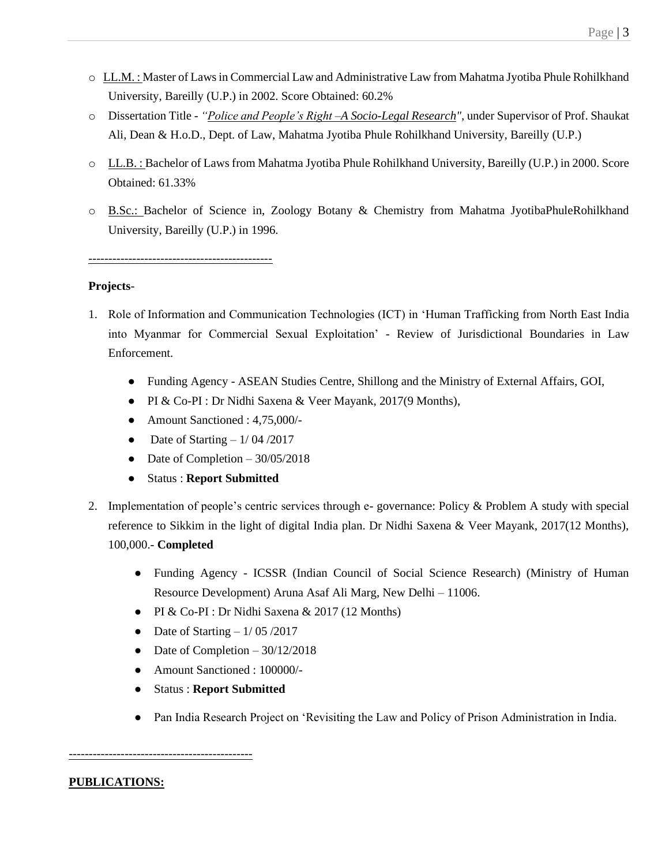- o LL.M. : Master of Laws in Commercial Law and Administrative Law from Mahatma Jyotiba Phule Rohilkhand University, Bareilly (U.P.) in 2002. Score Obtained: 60.2%
- o Dissertation Title *"Police and People's Right –A Socio-Legal Research",* under Supervisor of Prof. Shaukat Ali, Dean & H.o.D., Dept. of Law, Mahatma Jyotiba Phule Rohilkhand University, Bareilly (U.P.)
- o LL.B. : Bachelor of Laws from Mahatma Jyotiba Phule Rohilkhand University, Bareilly (U.P.) in 2000. Score Obtained: 61.33%
- o B.Sc.: Bachelor of Science in, Zoology Botany & Chemistry from Mahatma JyotibaPhuleRohilkhand University, Bareilly (U.P.) in 1996.

#### **Projects**-

- 1. Role of Information and Communication Technologies (ICT) in 'Human Trafficking from North East India into Myanmar for Commercial Sexual Exploitation' - Review of Jurisdictional Boundaries in Law Enforcement.
	- Funding Agency ASEAN Studies Centre, Shillong and the Ministry of External Affairs, GOI,
	- PI & Co-PI : Dr Nidhi Saxena & Veer Mayank, 2017(9 Months),
	- Amount Sanctioned : 4,75,000/-
	- Date of Starting  $-1/04/2017$
	- Date of Completion  $-30/05/2018$
	- Status : **Report Submitted**
- 2. Implementation of people's centric services through e- governance: Policy & Problem A study with special reference to Sikkim in the light of digital India plan. Dr Nidhi Saxena & Veer Mayank, 2017(12 Months), 100,000.- **Completed**
	- Funding Agency ICSSR (Indian Council of Social Science Research) (Ministry of Human Resource Development) Aruna Asaf Ali Marg, New Delhi – 11006.
	- PI & Co-PI : Dr Nidhi Saxena & 2017 (12 Months)
	- Date of Starting  $-1/05/2017$
	- Date of Completion  $-30/12/2018$
	- Amount Sanctioned : 100000/
	- Status : **Report Submitted**
	- Pan India Research Project on 'Revisiting the Law and Policy of Prison Administration in India.

# **PUBLICATIONS:**

----------------------------------------------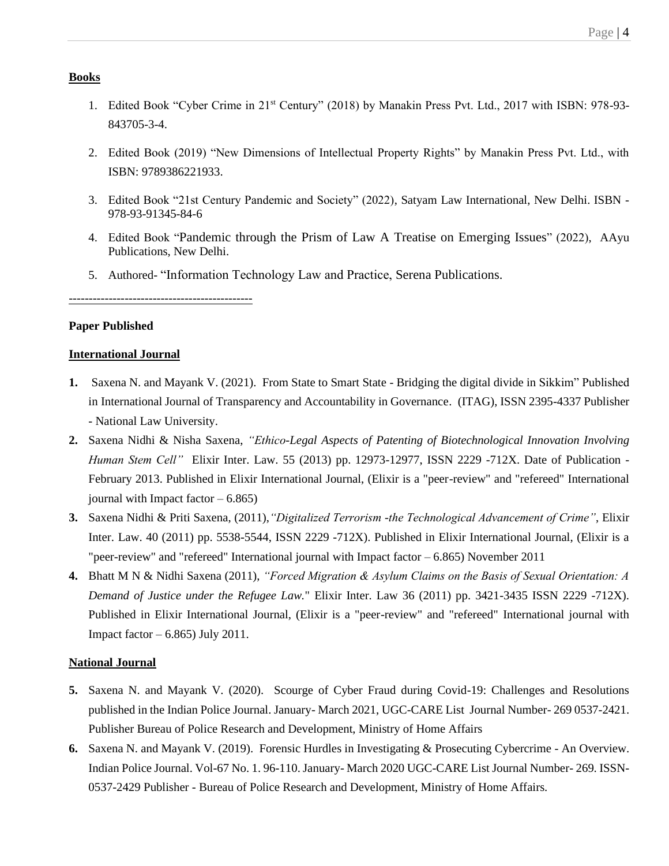#### **Books**

- 1. Edited Book "Cyber Crime in 21st Century" (2018) by Manakin Press Pvt. Ltd., 2017 with ISBN: 978-93- 843705-3-4.
- 2. Edited Book (2019) "New Dimensions of Intellectual Property Rights" by Manakin Press Pvt. Ltd., with ISBN: 9789386221933.
- 3. Edited Book "21st Century Pandemic and Society" (2022), Satyam Law International, New Delhi. ISBN 978-93-91345-84-6
- 4. Edited Book "Pandemic through the Prism of Law A Treatise on Emerging Issues" (2022), AAyu Publications, New Delhi.
- 5. Authored- "Information Technology Law and Practice, Serena Publications.

----------------------------------------------

#### **Paper Published**

## **International Journal**

- **1.** Saxena N. and Mayank V. (2021). From State to Smart State Bridging the digital divide in Sikkim" Published in International Journal of Transparency and Accountability in Governance. (ITAG), ISSN 2395-4337 Publisher - National Law University.
- **2.** Saxena Nidhi & Nisha Saxena, *"Ethico-Legal Aspects of Patenting of Biotechnological Innovation Involving Human Stem Cell"* Elixir Inter. Law. 55 (2013) pp. 12973-12977, ISSN 2229 -712X. Date of Publication - February 2013. Published in Elixir International Journal, (Elixir is a "peer-review" and "refereed" International journal with Impact factor  $-6.865$ )
- **3.** Saxena Nidhi & Priti Saxena, (2011),*"Digitalized Terrorism -the Technological Advancement of Crime"*, Elixir Inter. Law. 40 (2011) pp. 5538-5544, ISSN 2229 -712X). Published in Elixir International Journal, (Elixir is a "peer-review" and "refereed" International journal with Impact factor – 6.865) November 2011
- **4.** Bhatt M N & Nidhi Saxena (2011), *"Forced Migration & Asylum Claims on the Basis of Sexual Orientation: A Demand of Justice under the Refugee Law.*" Elixir Inter. Law 36 (2011) pp. 3421-3435 ISSN 2229 -712X). Published in Elixir International Journal, (Elixir is a "peer-review" and "refereed" International journal with Impact factor  $-6.865$ ) July 2011.

#### **National Journal**

- **5.** Saxena N. and Mayank V. (2020). Scourge of Cyber Fraud during Covid-19: Challenges and Resolutions published in the Indian Police Journal. January- March 2021, UGC-CARE List Journal Number- 269 0537-2421. Publisher Bureau of Police Research and Development, Ministry of Home Affairs
- **6.** Saxena N. and Mayank V. (2019). Forensic Hurdles in Investigating & Prosecuting Cybercrime An Overview. Indian Police Journal. Vol-67 No. 1. 96-110. January- March 2020 UGC-CARE List Journal Number- 269. ISSN-0537-2429 Publisher - Bureau of Police Research and Development, Ministry of Home Affairs.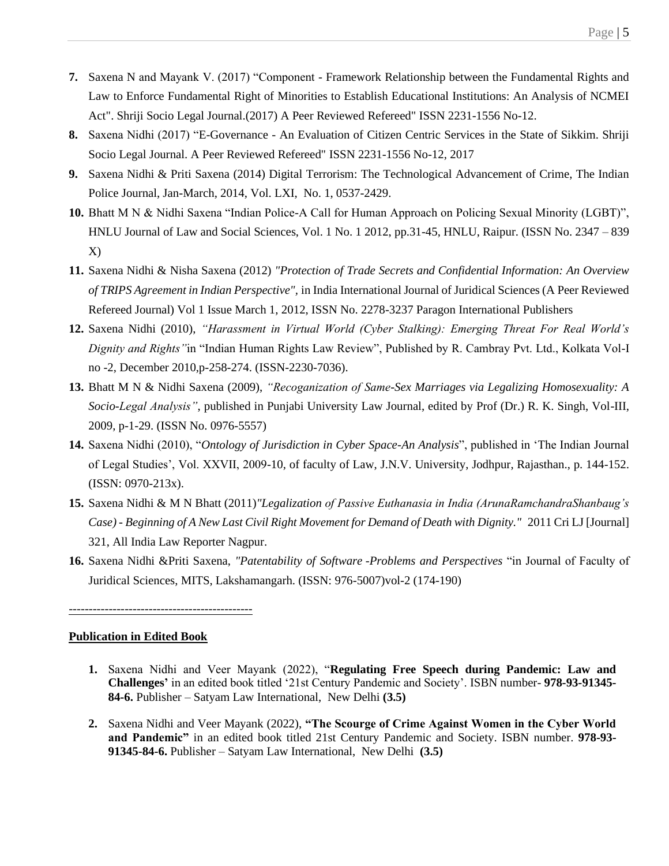- **7.** Saxena N and Mayank V. (2017) "Component Framework Relationship between the Fundamental Rights and Law to Enforce Fundamental Right of Minorities to Establish Educational Institutions: An Analysis of NCMEI Act". Shriji Socio Legal Journal.(2017) A Peer Reviewed Refereed" ISSN 2231-1556 No-12.
- **8.** Saxena Nidhi (2017) "E-Governance An Evaluation of Citizen Centric Services in the State of Sikkim. Shriji Socio Legal Journal. A Peer Reviewed Refereed" ISSN 2231-1556 No-12, 2017
- **9.** Saxena Nidhi & Priti Saxena (2014) Digital Terrorism: The Technological Advancement of Crime, The Indian Police Journal, Jan-March, 2014, Vol. LXI, No. 1, 0537-2429.
- **10.** Bhatt M N & Nidhi Saxena "Indian Police-A Call for Human Approach on Policing Sexual Minority (LGBT)", HNLU Journal of Law and Social Sciences, Vol. 1 No. 1 2012, pp.31-45, HNLU, Raipur. (ISSN No. 2347 – 839 X)
- **11.** Saxena Nidhi & Nisha Saxena (2012) *"Protection of Trade Secrets and Confidential Information: An Overview of TRIPS Agreement in Indian Perspective",* in India International Journal of Juridical Sciences (A Peer Reviewed Refereed Journal) Vol 1 Issue March 1, 2012, ISSN No. 2278-3237 Paragon International Publishers
- **12.** Saxena Nidhi (2010), *"Harassment in Virtual World (Cyber Stalking): Emerging Threat For Real World's Dignity and Rights"*in "Indian Human Rights Law Review", Published by R. Cambray Pvt. Ltd., Kolkata Vol-I no -2, December 2010,p-258-274. (ISSN-2230-7036).
- **13.** Bhatt M N & Nidhi Saxena (2009), *"Recoganization of Same-Sex Marriages via Legalizing Homosexuality: A Socio-Legal Analysis"*, published in Punjabi University Law Journal, edited by Prof (Dr.) R. K. Singh, Vol-III, 2009, p-1-29. (ISSN No. 0976-5557)
- **14.** Saxena Nidhi (2010), "*Ontology of Jurisdiction in Cyber Space-An Analysis*", published in 'The Indian Journal of Legal Studies', Vol. XXVII, 2009-10, of faculty of Law, J.N.V. University, Jodhpur, Rajasthan., p. 144-152. (ISSN: 0970-213x).
- **15.** Saxena Nidhi & M N Bhatt (2011)*"Legalization of Passive Euthanasia in India (ArunaRamchandraShanbaug's Case) - Beginning of A New Last Civil Right Movement for Demand of Death with Dignity."* 2011 Cri LJ [Journal] 321, All India Law Reporter Nagpur.
- **16.** Saxena Nidhi &Priti Saxena, *"Patentability of Software -Problems and Perspectives* "in Journal of Faculty of Juridical Sciences, MITS, Lakshamangarh. (ISSN: 976-5007)vol-2 (174-190)

#### **Publication in Edited Book**

- **1.** Saxena Nidhi and Veer Mayank (2022), "**Regulating Free Speech during Pandemic: Law and Challenges'** in an edited book titled '21st Century Pandemic and Society'. ISBN number- **978-93-91345- 84-6.** Publisher – Satyam Law International, New Delhi **(3.5)**
- **2.** Saxena Nidhi and Veer Mayank (2022), **"The Scourge of Crime Against Women in the Cyber World and Pandemic"** in an edited book titled 21st Century Pandemic and Society. ISBN number. **978-93- 91345-84-6.** Publisher – Satyam Law International, New Delhi **(3.5)**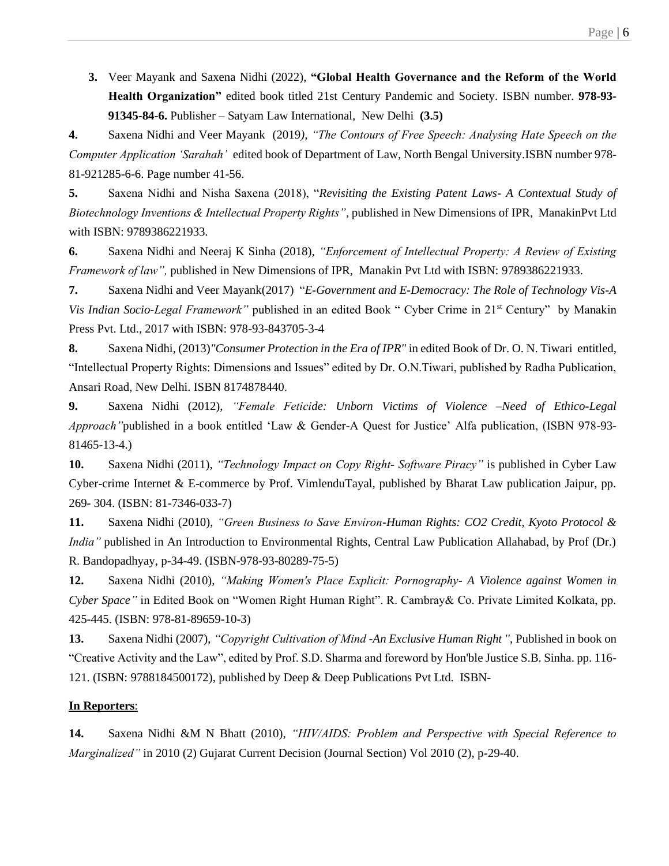**3.** Veer Mayank and Saxena Nidhi (2022), **"Global Health Governance and the Reform of the World Health Organization"** edited book titled 21st Century Pandemic and Society. ISBN number. **978-93- 91345-84-6.** Publisher – Satyam Law International, New Delhi **(3.5)**

**4.** Saxena Nidhi and Veer Mayank (2019*), "The Contours of Free Speech: Analysing Hate Speech on the Computer Application 'Sarahah'* edited book of Department of Law, North Bengal University.ISBN number 978- 81-921285-6-6. Page number 41-56.

**5.** Saxena Nidhi and Nisha Saxena (2018), "*Revisiting the Existing Patent Laws- A Contextual Study of Biotechnology Inventions & Intellectual Property Rights"*, published in New Dimensions of IPR, ManakinPvt Ltd with ISBN: 9789386221933.

**6.** Saxena Nidhi and Neeraj K Sinha (2018), *"Enforcement of Intellectual Property: A Review of Existing Framework of law",* published in New Dimensions of IPR, Manakin Pvt Ltd with ISBN: 9789386221933.

**7.** Saxena Nidhi and Veer Mayank(2017) "*E-Government and E-Democracy: The Role of Technology Vis-A Vis Indian Socio-Legal Framework"* published in an edited Book " Cyber Crime in 21<sup>st</sup> Century" by Manakin Press Pvt. Ltd., 2017 with ISBN: 978-93-843705-3-4

**8.** Saxena Nidhi, (2013)*"Consumer Protection in the Era of IPR"* in edited Book of Dr. O. N. Tiwari entitled, "Intellectual Property Rights: Dimensions and Issues" edited by Dr. O.N.Tiwari, published by Radha Publication, Ansari Road, New Delhi. ISBN 8174878440.

**9.** Saxena Nidhi (2012), *"Female Feticide: Unborn Victims of Violence –Need of Ethico-Legal Approach"*published in a book entitled 'Law & Gender-A Quest for Justice' Alfa publication, (ISBN 978-93- 81465-13-4.)

**10.** Saxena Nidhi (2011), *"Technology Impact on Copy Right- Software Piracy"* is published in Cyber Law Cyber-crime Internet & E-commerce by Prof. VimlenduTayal, published by Bharat Law publication Jaipur, pp. 269- 304. (ISBN: 81-7346-033-7)

**11.** Saxena Nidhi (2010), *"Green Business to Save Environ-Human Rights: CO2 Credit, Kyoto Protocol & India"* published in An Introduction to Environmental Rights, Central Law Publication Allahabad, by Prof (Dr.) R. Bandopadhyay, p-34-49. (ISBN-978-93-80289-75-5)

**12.** Saxena Nidhi (2010), *"Making Women's Place Explicit: Pornography- A Violence against Women in Cyber Space"* in Edited Book on "Women Right Human Right". R. Cambray& Co. Private Limited Kolkata, pp. 425-445. (ISBN: 978-81-89659-10-3)

**13.** Saxena Nidhi (2007), *"Copyright Cultivation of Mind -An Exclusive Human Right ''*, Published in book on "Creative Activity and the Law", edited by Prof. S.D. Sharma and foreword by Hon'ble Justice S.B. Sinha. pp. 116- 121. (ISBN: [9788184500172\)](https://www.abebooks.co.uk/products/isbn/9788184500172?cm_sp=bdp-_-9788184500172-_-isbn13), published by Deep & Deep Publications Pvt Ltd. ISBN-

#### **In Reporters**:

**14.** Saxena Nidhi &M N Bhatt (2010), *"HIV/AIDS: Problem and Perspective with Special Reference to Marginalized"* in 2010 (2) Gujarat Current Decision (Journal Section) Vol 2010 (2), p-29-40.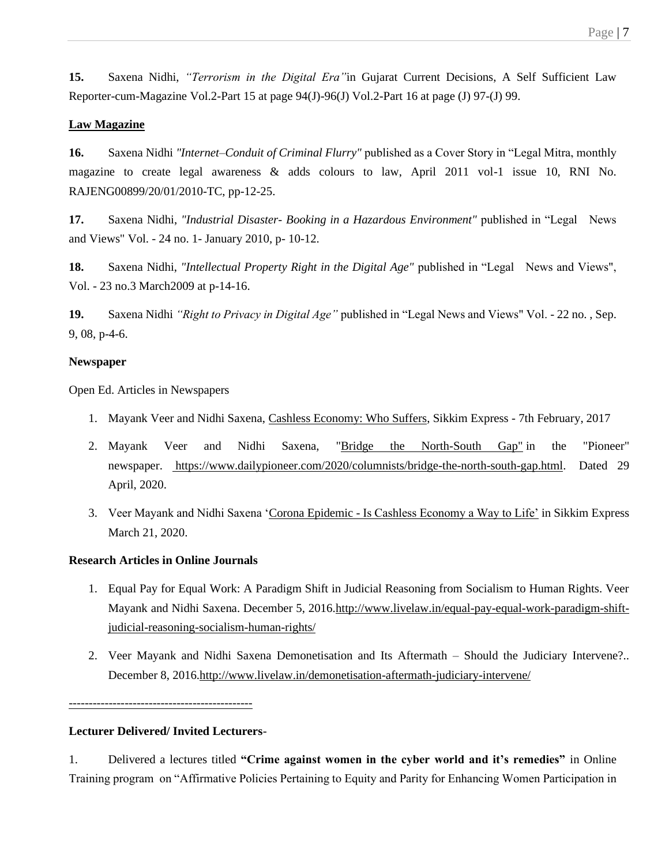**15.** Saxena Nidhi, *"Terrorism in the Digital Era"*in Gujarat Current Decisions, A Self Sufficient Law Reporter-cum-Magazine Vol.2-Part 15 at page 94(J)-96(J) Vol.2-Part 16 at page (J) 97-(J) 99.

# **Law Magazine**

**16.** Saxena Nidhi *"Internet–Conduit of Criminal Flurry"* published as a Cover Story in "Legal Mitra, monthly magazine to create legal awareness & adds colours to law, April 2011 vol-1 issue 10, RNI No. RAJENG00899/20/01/2010-TC, pp-12-25.

**17.** Saxena Nidhi, *"Industrial Disaster- Booking in a Hazardous Environment"* published in "Legal News and Views" Vol. - 24 no. 1- January 2010, p- 10-12.

**18.** Saxena Nidhi, *"Intellectual Property Right in the Digital Age"* published in "Legal News and Views", Vol. - 23 no.3 March2009 at p-14-16.

**19.** Saxena Nidhi *"Right to Privacy in Digital Age"* published in "Legal News and Views" Vol. - 22 no. , Sep. 9, 08, p-4-6.

## **Newspaper**

Open Ed. Articles in Newspapers

- 1. Mayank Veer and Nidhi Saxena, Cashless Economy: Who Suffers, Sikkim Express 7th February, 2017
- 2. Mayank Veer and Nidhi Saxena, "Bridge the North-South Gap" in the "Pioneer" newspaper. [https://www.dailypioneer.com/2020/columnists/bridge-the-north-south-gap.html.](https://l.facebook.com/l.php?u=https%3A%2F%2Fwww.dailypioneer.com%2F2020%2Fcolumnists%2Fbridge-the-north-south-gap.html%3Ffbclid%3DIwAR3m1s4QcJyGmqgTPJpau9R2qmhSVW4aLXo8c5LwQhPTVnC-kChn4yW82go&h=AT0FaKVfUs2CuMI1OJes_ybiy-XYt3Kdg2iadDHAUsff2FAVrnq0n5hbd1dCMGeapChCpttYLs9S2N42DnSi-gZMXto301SSQ3UPqUFKP76_qwOokyW_R34XNGQMq3OBjlTD8353R0yDx9jIWss&__tn__=-UK-R&c%5b0%5d=AT2wj0gbLimCqpcC1ZnBrJzBjxVGK-7adgh5TuPLWH5BGQcaMC-nDmX1p_-0QajHQwK36RTzxIWsOFA8mI-HXmS6XSvpwT3drp2VQiHavOKJT5EyqXN87cZzX62vhs5A1TcIPTV2dlQcfQP0aoGT) Dated 29 April, 2020.
- 3. Veer Mayank and Nidhi Saxena 'Corona Epidemic Is Cashless Economy a Way to Life' in Sikkim Express March 21, 2020.

# **Research Articles in Online Journals**

- 1. Equal Pay for Equal Work: A Paradigm Shift in Judicial Reasoning from Socialism to Human Rights. Veer Mayank and Nidhi Saxena. December 5, 2016[.http://www.livelaw.in/equal-pay-equal-work-paradigm-shift](http://www.livelaw.in/equal-pay-equal-work-paradigm-shift-judicial-reasoning-socialism-human-rights/)[judicial-reasoning-socialism-human-rights/](http://www.livelaw.in/equal-pay-equal-work-paradigm-shift-judicial-reasoning-socialism-human-rights/)
- 2. Veer Mayank and Nidhi Saxena Demonetisation and Its Aftermath Should the Judiciary Intervene?.. December 8, 201[6.http://www.livelaw.in/demonetisation-aftermath-judiciary-intervene/](http://www.livelaw.in/demonetisation-aftermath-judiciary-intervene/)

----------------------------------------------

# **Lecturer Delivered/ Invited Lecturers**-

1. Delivered a lectures titled **"Crime against women in the cyber world and it's remedies"** in Online Training program on "Affirmative Policies Pertaining to Equity and Parity for Enhancing Women Participation in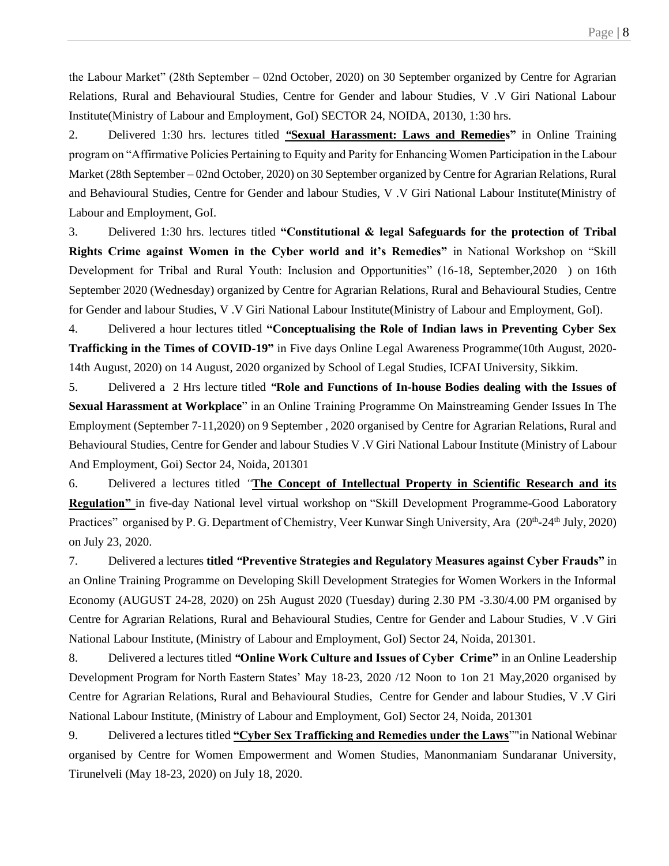the Labour Market" (28th September – 02nd October, 2020) on 30 September organized by Centre for Agrarian Relations, Rural and Behavioural Studies, Centre for Gender and labour Studies, V .V Giri National Labour Institute(Ministry of Labour and Employment, GoI) SECTOR 24, NOIDA, 20130, 1:30 hrs.

2. Delivered 1:30 hrs. lectures titled *"***Sexual Harassment: Laws and Remedies"** in Online Training program on "Affirmative Policies Pertaining to Equity and Parity for Enhancing Women Participation in the Labour Market (28th September – 02nd October, 2020) on 30 September organized by Centre for Agrarian Relations, Rural and Behavioural Studies, Centre for Gender and labour Studies, V .V Giri National Labour Institute(Ministry of Labour and Employment, GoI.

3. Delivered 1:30 hrs. lectures titled **"Constitutional & legal Safeguards for the protection of Tribal Rights Crime against Women in the Cyber world and it's Remedies"** in National Workshop on "Skill Development for Tribal and Rural Youth: Inclusion and Opportunities" (16-18, September,2020 ) on 16th September 2020 (Wednesday) organized by Centre for Agrarian Relations, Rural and Behavioural Studies, Centre for Gender and labour Studies, V .V Giri National Labour Institute(Ministry of Labour and Employment, GoI).

4. Delivered a hour lectures titled **"Conceptualising the Role of Indian laws in Preventing Cyber Sex Trafficking in the Times of COVID-19"** in Five days Online Legal Awareness Programme(10th August, 2020- 14th August, 2020) on 14 August, 2020 organized by School of Legal Studies, ICFAI University, Sikkim.

5. Delivered a 2 Hrs lecture titled *"***Role and Functions of In-house Bodies dealing with the Issues of Sexual Harassment at Workplace**" in an Online Training Programme On Mainstreaming Gender Issues In The Employment (September 7-11,2020) on 9 September , 2020 organised by Centre for Agrarian Relations, Rural and Behavioural Studies, Centre for Gender and labour Studies V .V Giri National Labour Institute (Ministry of Labour And Employment, Goi) Sector 24, Noida, 201301

6. Delivered a lectures titled *"***The Concept of Intellectual Property in Scientific Research and its Regulation"** in five-day National level virtual workshop on "Skill Development Programme-Good Laboratory Practices" organised by P. G. Department of Chemistry, Veer Kunwar Singh University, Ara (20<sup>th</sup>-24<sup>th</sup> July, 2020) on July 23, 2020.

7. Delivered a lectures **titled** *"***Preventive Strategies and Regulatory Measures against Cyber Frauds"** in an Online Training Programme on Developing Skill Development Strategies for Women Workers in the Informal Economy (AUGUST 24-28, 2020) on 25h August 2020 (Tuesday) during 2.30 PM -3.30/4.00 PM organised by Centre for Agrarian Relations, Rural and Behavioural Studies, Centre for Gender and Labour Studies, V .V Giri National Labour Institute, (Ministry of Labour and Employment, GoI) Sector 24, Noida, 201301.

8. Delivered a lectures titled *"***Online Work Culture and Issues of Cyber Crime"** in an Online Leadership Development Program for North Eastern States' May 18-23, 2020 /12 Noon to 1on 21 May,2020 organised by Centre for Agrarian Relations, Rural and Behavioural Studies, Centre for Gender and labour Studies, V .V Giri National Labour Institute, (Ministry of Labour and Employment, GoI) Sector 24, Noida, 201301

9. Delivered a lectures titled **"Cyber Sex Trafficking and Remedies under the Laws**""in National Webinar organised by Centre for Women Empowerment and Women Studies, Manonmaniam Sundaranar University, Tirunelveli (May 18-23, 2020) on July 18, 2020.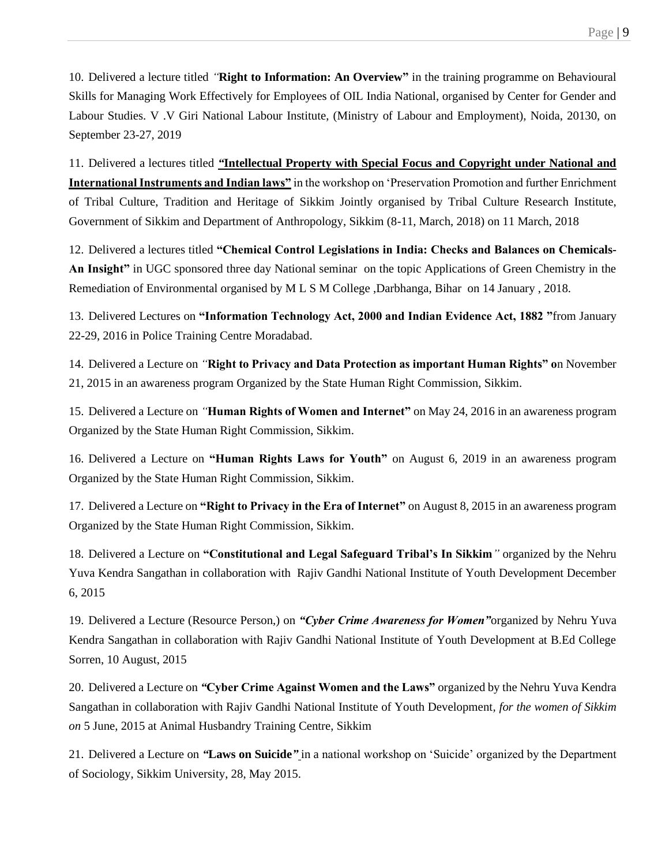10. Delivered a lecture titled *"***Right to Information: An Overview"** in the training programme on Behavioural Skills for Managing Work Effectively for Employees of OIL India National, organised by Center for Gender and Labour Studies. V .V Giri National Labour Institute, (Ministry of Labour and Employment), Noida, 20130, on September 23-27, 2019

11. Delivered a lectures titled *"***Intellectual Property with Special Focus and Copyright under National and International Instruments and Indian laws"** in the workshop on 'Preservation Promotion and further Enrichment of Tribal Culture, Tradition and Heritage of Sikkim Jointly organised by Tribal Culture Research Institute, Government of Sikkim and Department of Anthropology, Sikkim (8-11, March, 2018) on 11 March, 2018

12. Delivered a lectures titled **"Chemical Control Legislations in India: Checks and Balances on Chemicals-An Insight"** in UGC sponsored three day National seminar on the topic Applications of Green Chemistry in the Remediation of Environmental organised by M L S M College ,Darbhanga, Bihar on 14 January , 2018.

13. Delivered Lectures on **"Information Technology Act, 2000 and Indian Evidence Act, 1882 "**from January 22-29, 2016 in Police Training Centre Moradabad.

14. Delivered a Lecture on *"***Right to Privacy and Data Protection as important Human Rights" o**n November 21, 2015 in an awareness program Organized by the State Human Right Commission, Sikkim.

15. Delivered a Lecture on *"***Human Rights of Women and Internet"** on May 24, 2016 in an awareness program Organized by the State Human Right Commission, Sikkim.

16. Delivered a Lecture on **"Human Rights Laws for Youth"** on August 6, 2019 in an awareness program Organized by the State Human Right Commission, Sikkim.

17. Delivered a Lecture on **"Right to Privacy in the Era of Internet"** on August 8, 2015 in an awareness program Organized by the State Human Right Commission, Sikkim.

18. Delivered a Lecture on **"Constitutional and Legal Safeguard Tribal's In Sikkim***"* organized by the Nehru Yuva Kendra Sangathan in collaboration with Rajiv Gandhi National Institute of Youth Development December 6, 2015

19. Delivered a Lecture (Resource Person,) on *"Cyber Crime Awareness for Women"*organized by Nehru Yuva Kendra Sangathan in collaboration with Rajiv Gandhi National Institute of Youth Development at B.Ed College Sorren, 10 August, 2015

20. Delivered a Lecture on *"***Cyber Crime Against Women and the Laws"** organized by the Nehru Yuva Kendra Sangathan in collaboration with Rajiv Gandhi National Institute of Youth Development*, for the women of Sikkim on* 5 June, 2015 at Animal Husbandry Training Centre, Sikkim

21. Delivered a Lecture on *"***Laws on Suicide***"* in a national workshop on 'Suicide' organized by the Department of Sociology, Sikkim University, 28, May 2015.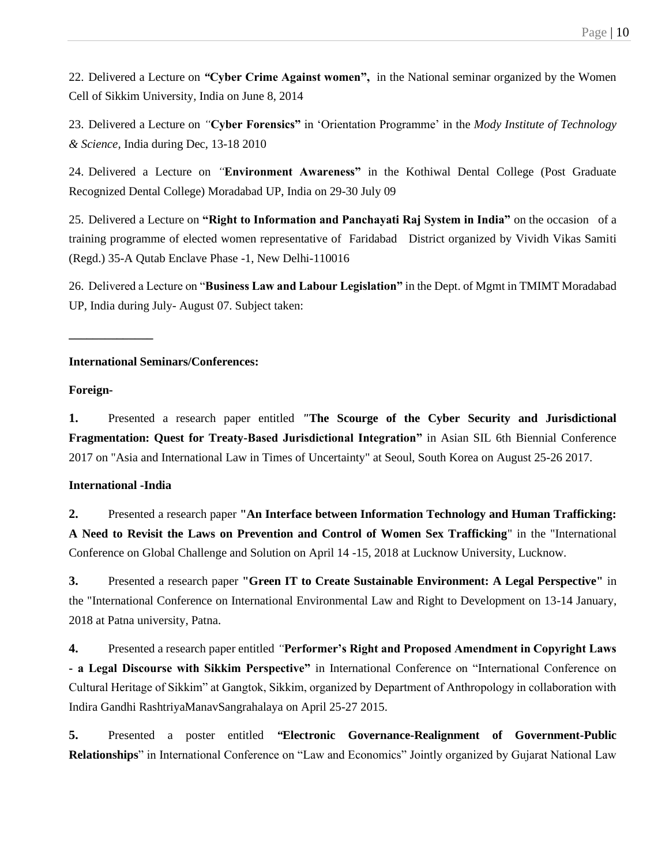22. Delivered a Lecture on *"***Cyber Crime Against women",** in the National seminar organized by the Women Cell of Sikkim University*,* India on June 8, 2014

23. Delivered a Lecture on *"***Cyber Forensics"** in 'Orientation Programme' in the *Mody Institute of Technology & Science,* India during Dec, 13-18 2010

24. Delivered a Lecture on *"***Environment Awareness"** in the Kothiwal Dental College (Post Graduate Recognized Dental College) Moradabad UP, India on 29-30 July 09

25. Delivered a Lecture on **"Right to Information and Panchayati Raj System in India"** on the occasion of a training programme of elected women representative of Faridabad District organized by Vividh Vikas Samiti (Regd.) 35-A Qutab Enclave Phase -1, New Delhi-110016

26. Delivered a Lecture on "**Business Law and Labour Legislation"** in the Dept. of Mgmt in TMIMT Moradabad UP, India during July- August 07. Subject taken:

## **International Seminars/Conferences:**

## **Foreign-**

**\_\_\_\_\_\_\_\_\_\_\_\_\_\_**

**1.** Presented a research paper entitled *"***The Scourge of the Cyber Security and Jurisdictional Fragmentation: Quest for Treaty-Based Jurisdictional Integration"** in Asian SIL 6th Biennial Conference 2017 on "Asia and International Law in Times of Uncertainty" at Seoul, South Korea on August 25-26 2017.

# **International -India**

**2.** Presented a research paper **"An Interface between Information Technology and Human Trafficking: A Need to Revisit the Laws on Prevention and Control of Women Sex Trafficking**" in the "International Conference on Global Challenge and Solution on April 14 -15, 2018 at Lucknow University, Lucknow.

**3.** Presented a research paper **"Green IT to Create Sustainable Environment: A Legal Perspective"** in the "International Conference on International Environmental Law and Right to Development on 13-14 January, 2018 at Patna university, Patna.

**4.** Presented a research paper entitled *"***Performer's Right and Proposed Amendment in Copyright Laws - a Legal Discourse with Sikkim Perspective"** in International Conference on "International Conference on Cultural Heritage of Sikkim" at Gangtok, Sikkim, organized by Department of Anthropology in collaboration with Indira Gandhi RashtriyaManavSangrahalaya on April 25-27 2015.

**5.** Presented a poster entitled *"***Electronic Governance-Realignment of Government-Public Relationships**" in International Conference on "Law and Economics" Jointly organized by Gujarat National Law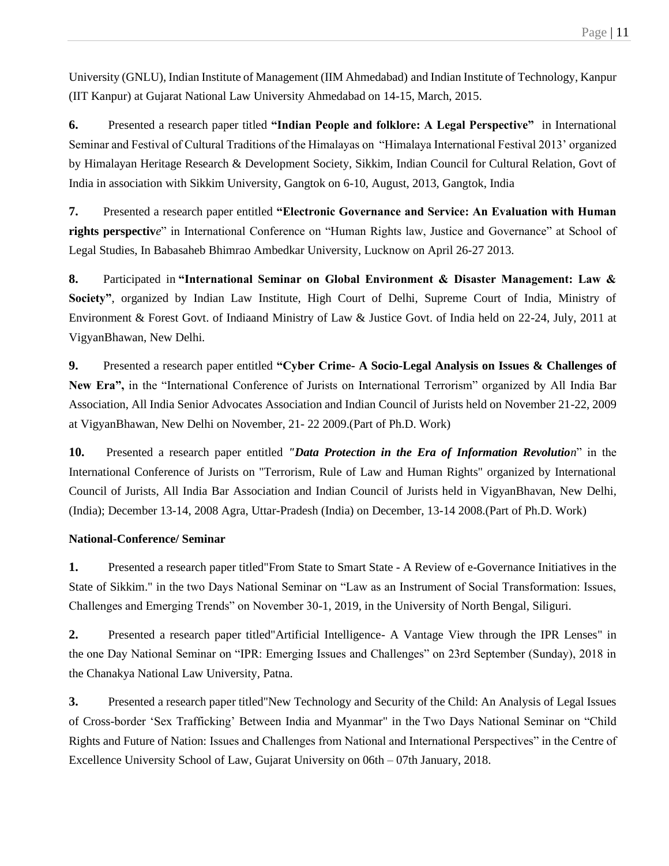University (GNLU), Indian Institute of Management (IIM Ahmedabad) and Indian Institute of Technology, Kanpur (IIT Kanpur) at Gujarat National Law University Ahmedabad on 14-15, March, 2015.

**6.** Presented a research paper titled **"Indian People and folklore: A Legal Perspective"** in International Seminar and Festival of Cultural Traditions of the Himalayas on "Himalaya International Festival 2013' organized by Himalayan Heritage Research & Development Society, Sikkim, Indian Council for Cultural Relation, Govt of India in association with Sikkim University, Gangtok on 6-10, August, 2013, Gangtok, India

**7.** Presented a research paper entitled **"Electronic Governance and Service: An Evaluation with Human rights perspectiv***e*" in International Conference on "Human Rights law, Justice and Governance" at School of Legal Studies, In Babasaheb Bhimrao Ambedkar University, Lucknow on April 26-27 2013.

**8.** Participated in **"International Seminar on Global Environment & Disaster Management: Law & Society"**, organized by Indian Law Institute, High Court of Delhi, Supreme Court of India, Ministry of Environment & Forest Govt. of Indiaand Ministry of Law & Justice Govt. of India held on 22-24, July, 2011 at VigyanBhawan, New Delhi.

**9.** Presented a research paper entitled **"Cyber Crime- A Socio-Legal Analysis on Issues & Challenges of New Era",** in the "International Conference of Jurists on International Terrorism" organized by All India Bar Association, All India Senior Advocates Association and Indian Council of Jurists held on November 21-22, 2009 at VigyanBhawan, New Delhi on November, 21- 22 2009.(Part of Ph.D. Work)

**10.** Presented a research paper entitled *"Data Protection in the Era of Information Revolution*" in the International Conference of Jurists on "Terrorism, Rule of Law and Human Rights" organized by International Council of Jurists, All India Bar Association and Indian Council of Jurists held in VigyanBhavan, New Delhi, (India); December 13-14, 2008 Agra, Uttar-Pradesh (India) on December, 13-14 2008.(Part of Ph.D. Work)

# **National-Conference/ Seminar**

**1.** Presented a research paper titled"From State to Smart State - A Review of e-Governance Initiatives in the State of Sikkim." in the two Days National Seminar on "Law as an Instrument of Social Transformation: Issues, Challenges and Emerging Trends" on November 30-1, 2019, in the University of North Bengal, Siliguri.

**2.** Presented a research paper titled"Artificial Intelligence- A Vantage View through the IPR Lenses" in the one Day National Seminar on "IPR: Emerging Issues and Challenges" on 23rd September (Sunday), 2018 in the Chanakya National Law University, Patna.

**3.** Presented a research paper titled"New Technology and Security of the Child: An Analysis of Legal Issues of Cross-border 'Sex Trafficking' Between India and Myanmar" in the Two Days National Seminar on "Child Rights and Future of Nation: Issues and Challenges from National and International Perspectives" in the Centre of Excellence University School of Law, Gujarat University on 06th – 07th January, 2018.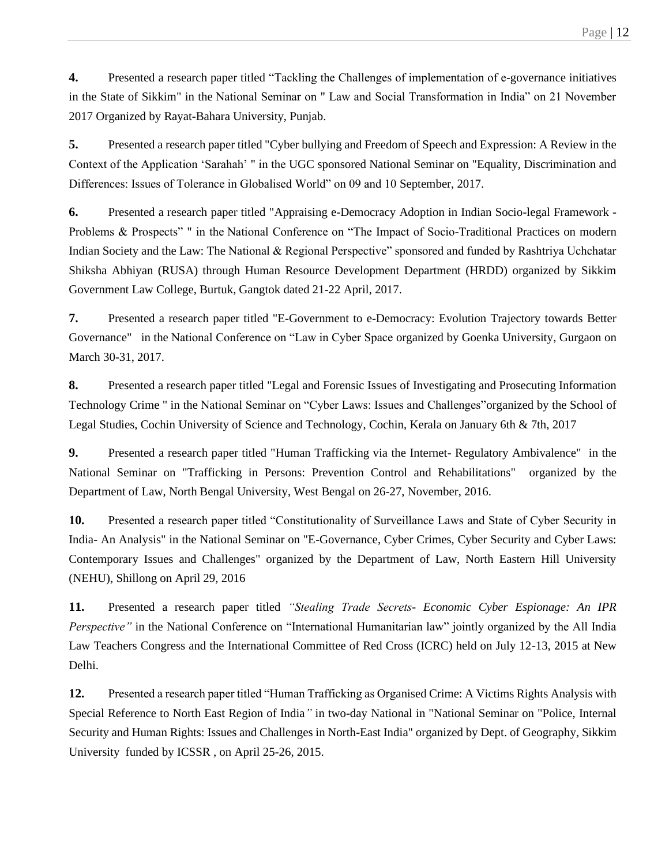**4.** Presented a research paper titled "Tackling the Challenges of implementation of e-governance initiatives in the State of Sikkim" in the National Seminar on " Law and Social Transformation in India" on 21 November 2017 Organized by Rayat-Bahara University, Punjab.

**5.** Presented a research paper titled "Cyber bullying and Freedom of Speech and Expression: A Review in the Context of the Application 'Sarahah' " in the UGC sponsored National Seminar on "Equality, Discrimination and Differences: Issues of Tolerance in Globalised World" on 09 and 10 September, 2017.

**6.** Presented a research paper titled "Appraising e-Democracy Adoption in Indian Socio-legal Framework - Problems & Prospects" " in the National Conference on "The Impact of Socio-Traditional Practices on modern Indian Society and the Law: The National & Regional Perspective" sponsored and funded by Rashtriya Uchchatar Shiksha Abhiyan (RUSA) through Human Resource Development Department (HRDD) organized by Sikkim Government Law College, Burtuk, Gangtok dated 21-22 April, 2017.

**7.** Presented a research paper titled "E-Government to e-Democracy: Evolution Trajectory towards Better Governance" in the National Conference on "Law in Cyber Space organized by Goenka University, Gurgaon on March 30-31, 2017.

**8.** Presented a research paper titled "Legal and Forensic Issues of Investigating and Prosecuting Information Technology Crime " in the National Seminar on "Cyber Laws: Issues and Challenges"organized by the School of Legal Studies, Cochin University of Science and Technology, Cochin, Kerala on January 6th & 7th, 2017

**9.** Presented a research paper titled "Human Trafficking via the Internet- Regulatory Ambivalence" in the National Seminar on "Trafficking in Persons: Prevention Control and Rehabilitations" organized by the Department of Law, North Bengal University, West Bengal on 26-27, November, 2016.

**10.** Presented a research paper titled "Constitutionality of Surveillance Laws and State of Cyber Security in India- An Analysis" in the National Seminar on "E-Governance, Cyber Crimes, Cyber Security and Cyber Laws: Contemporary Issues and Challenges" organized by the Department of Law, North Eastern Hill University (NEHU), Shillong on April 29, 2016

**11.** Presented a research paper titled *"Stealing Trade Secrets- Economic Cyber Espionage: An IPR Perspective"* in the National Conference on "International Humanitarian law" jointly organized by the All India Law Teachers Congress and the International Committee of Red Cross (ICRC) held on July 12-13, 2015 at New Delhi.

**12.** Presented a research paper titled "Human Trafficking as Organised Crime: A Victims Rights Analysis with Special Reference to North East Region of India*"* in two-day National in "National Seminar on "Police, Internal Security and Human Rights: Issues and Challenges in North-East India" organized by Dept. of Geography, Sikkim University funded by ICSSR , on April 25-26, 2015.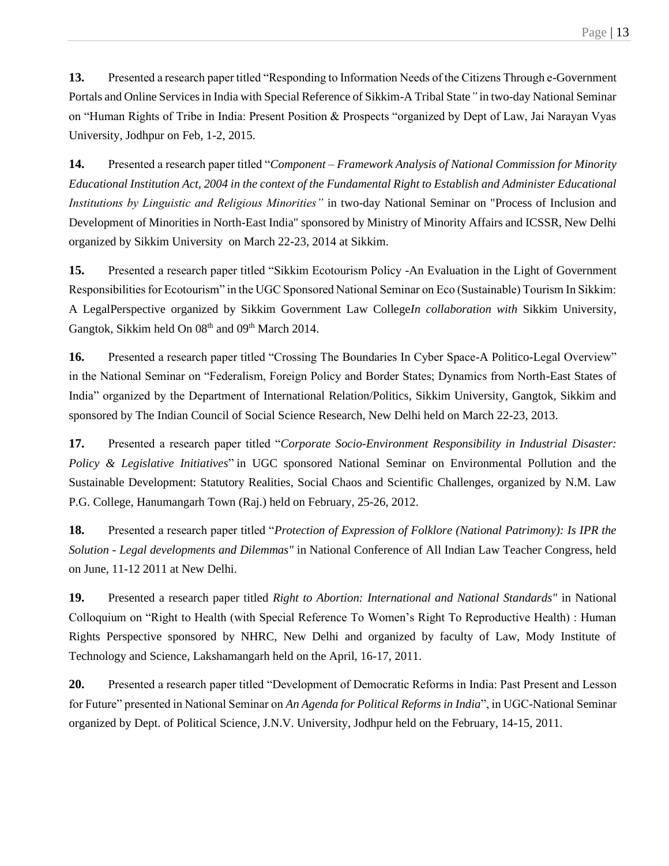**13.** Presented a research paper titled "Responding to Information Needs of the Citizens Through e-Government Portals and Online Services in India with Special Reference of Sikkim-A Tribal State*"* in two-day National Seminar on "Human Rights of Tribe in India: Present Position & Prospects "organized by Dept of Law, Jai Narayan Vyas University, Jodhpur on Feb, 1-2, 2015.

**14.** Presented a research paper titled "*Component – Framework Analysis of National Commission for Minority Educational Institution Act, 2004 in the context of the Fundamental Right to Establish and Administer Educational Institutions by Linguistic and Religious Minorities"* in two-day National Seminar on "Process of Inclusion and Development of Minorities in North-East India" sponsored by Ministry of Minority Affairs and ICSSR, New Delhi organized by Sikkim University on March 22-23, 2014 at Sikkim.

**15.** Presented a research paper titled "Sikkim Ecotourism Policy -An Evaluation in the Light of Government Responsibilities for Ecotourism" in the UGC Sponsored National Seminar on Eco (Sustainable) Tourism In Sikkim: A LegalPerspective organized by Sikkim Government Law College*In collaboration with* Sikkim University, Gangtok, Sikkim held On 08<sup>th</sup> and 09<sup>th</sup> March 2014.

16. Presented a research paper titled "Crossing The Boundaries In Cyber Space-A Politico-Legal Overview" in the National Seminar on "Federalism, Foreign Policy and Border States; Dynamics from North-East States of India" organized by the Department of International Relation/Politics, Sikkim University, Gangtok, Sikkim and sponsored by The Indian Council of Social Science Research, New Delhi held on March 22-23, 2013.

**17.** Presented a research paper titled "*Corporate Socio-Environment Responsibility in Industrial Disaster: Policy & Legislative Initiatives*" in UGC sponsored National Seminar on Environmental Pollution and the Sustainable Development: Statutory Realities, Social Chaos and Scientific Challenges, organized by N.M. Law P.G. College, Hanumangarh Town (Raj.) held on February, 25-26, 2012.

**18.** Presented a research paper titled "*Protection of Expression of Folklore (National Patrimony): Is IPR the Solution - Legal developments and Dilemmas"* in National Conference of All Indian Law Teacher Congress, held on June, 11-12 2011 at New Delhi.

**19.** Presented a research paper titled *Right to Abortion: International and National Standards"* in National Colloquium on "Right to Health (with Special Reference To Women's Right To Reproductive Health) : Human Rights Perspective sponsored by NHRC, New Delhi and organized by faculty of Law, Mody Institute of Technology and Science, Lakshamangarh held on the April, 16-17, 2011.

**20.** Presented a research paper titled "Development of Democratic Reforms in India: Past Present and Lesson for Future" presented in National Seminar on *An Agenda for Political Reforms in India*", in UGC-National Seminar organized by Dept. of Political Science, J.N.V. University, Jodhpur held on the February, 14-15, 2011.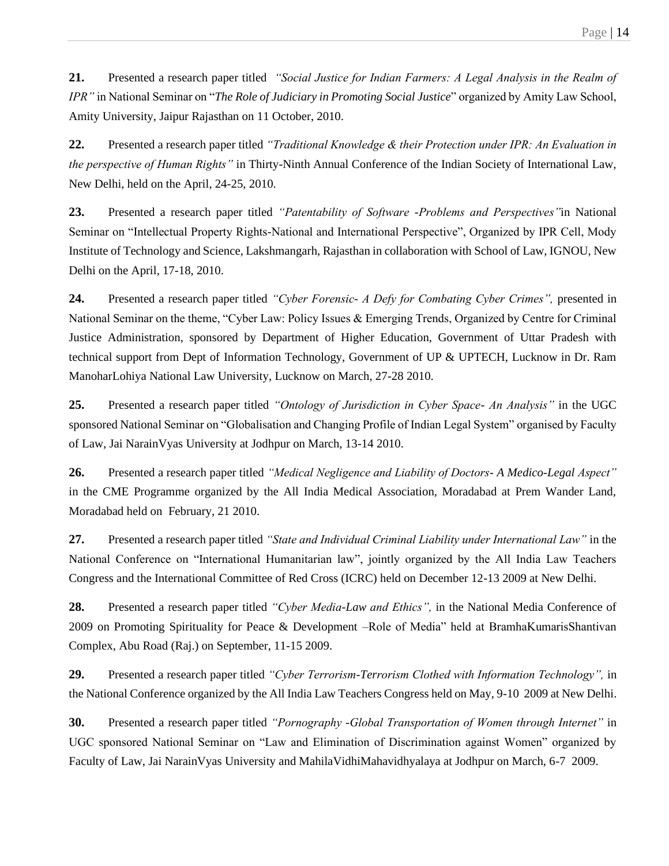**21.** Presented a research paper titled *"Social Justice for Indian Farmers: A Legal Analysis in the Realm of IPR"* in National Seminar on "*The Role of Judiciary in Promoting Social Justice*" organized by Amity Law School, Amity University, Jaipur Rajasthan on 11 October, 2010.

**22.** Presented a research paper titled *"Traditional Knowledge & their Protection under IPR: An Evaluation in the perspective of Human Rights"* in Thirty-Ninth Annual Conference of the Indian Society of International Law, New Delhi, held on the April, 24-25, 2010.

**23.** Presented a research paper titled *"Patentability of Software -Problems and Perspectives"*in National Seminar on "Intellectual Property Rights-National and International Perspective", Organized by IPR Cell, Mody Institute of Technology and Science, Lakshmangarh, Rajasthan in collaboration with School of Law, IGNOU, New Delhi on the April, 17-18, 2010.

**24.** Presented a research paper titled *"Cyber Forensic- A Defy for Combating Cyber Crimes",* presented in National Seminar on the theme, "Cyber Law: Policy Issues & Emerging Trends, Organized by Centre for Criminal Justice Administration, sponsored by Department of Higher Education, Government of Uttar Pradesh with technical support from Dept of Information Technology, Government of UP & UPTECH, Lucknow in Dr. Ram ManoharLohiya National Law University, Lucknow on March, 27-28 2010.

**25.** Presented a research paper titled *"Ontology of Jurisdiction in Cyber Space- An Analysis"* in the UGC sponsored National Seminar on "Globalisation and Changing Profile of Indian Legal System" organised by Faculty of Law, Jai NarainVyas University at Jodhpur on March, 13-14 2010.

**26.** Presented a research paper titled *"Medical Negligence and Liability of Doctors- A Medico-Legal Aspect"* in the CME Programme organized by the All India Medical Association, Moradabad at Prem Wander Land, Moradabad held on February, 21 2010.

**27.** Presented a research paper titled *"State and Individual Criminal Liability under International Law"* in the National Conference on "International Humanitarian law", jointly organized by the All India Law Teachers Congress and the International Committee of Red Cross (ICRC) held on December 12-13 2009 at New Delhi.

**28.** Presented a research paper titled *"Cyber Media-Law and Ethics",* in the National Media Conference of 2009 on Promoting Spirituality for Peace & Development –Role of Media" held at BramhaKumarisShantivan Complex, Abu Road (Raj.) on September, 11-15 2009.

**29.** Presented a research paper titled *"Cyber Terrorism-Terrorism Clothed with Information Technology",* in the National Conference organized by the All India Law Teachers Congress held on May, 9-10 2009 at New Delhi.

**30.** Presented a research paper titled *"Pornography -Global Transportation of Women through Internet"* in UGC sponsored National Seminar on "Law and Elimination of Discrimination against Women" organized by Faculty of Law, Jai NarainVyas University and MahilaVidhiMahavidhyalaya at Jodhpur on March, 6-7 2009.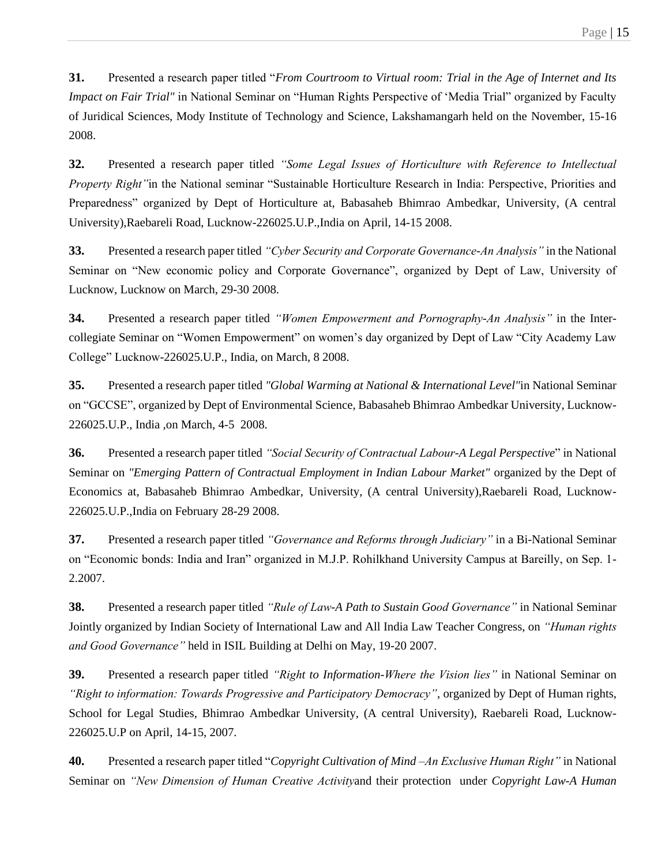**31.** Presented a research paper titled "*From Courtroom to Virtual room: Trial in the Age of Internet and Its Impact on Fair Trial"* in National Seminar on "Human Rights Perspective of 'Media Trial" organized by Faculty of Juridical Sciences, Mody Institute of Technology and Science, Lakshamangarh held on the November, 15-16 2008.

**32.** Presented a research paper titled *"Some Legal Issues of Horticulture with Reference to Intellectual Property Right"*in the National seminar "Sustainable Horticulture Research in India: Perspective, Priorities and Preparedness" organized by Dept of Horticulture at, Babasaheb Bhimrao Ambedkar, University, (A central University),Raebareli Road, Lucknow-226025.U.P.,India on April, 14-15 2008.

**33.** Presented a research paper titled *"Cyber Security and Corporate Governance-An Analysis"* in the National Seminar on "New economic policy and Corporate Governance", organized by Dept of Law, University of Lucknow, Lucknow on March, 29-30 2008.

**34.** Presented a research paper titled *"Women Empowerment and Pornography-An Analysis"* in the Intercollegiate Seminar on "Women Empowerment" on women's day organized by Dept of Law "City Academy Law College" Lucknow-226025.U.P., India, on March, 8 2008.

**35.** Presented a research paper titled *"Global Warming at National & International Level"*in National Seminar on "GCCSE", organized by Dept of Environmental Science, Babasaheb Bhimrao Ambedkar University, Lucknow-226025.U.P., India ,on March, 4-5 2008.

**36.** Presented a research paper titled *"Social Security of Contractual Labour-A Legal Perspective*" in National Seminar on *"Emerging Pattern of Contractual Employment in Indian Labour Market"* organized by the Dept of Economics at, Babasaheb Bhimrao Ambedkar, University, (A central University),Raebareli Road, Lucknow-226025.U.P.,India on February 28-29 2008.

**37.** Presented a research paper titled *"Governance and Reforms through Judiciary"* in a Bi-National Seminar on "Economic bonds: India and Iran" organized in M.J.P. Rohilkhand University Campus at Bareilly, on Sep. 1- 2.2007.

**38.** Presented a research paper titled *"Rule of Law-A Path to Sustain Good Governance"* in National Seminar Jointly organized by Indian Society of International Law and All India Law Teacher Congress, on *"Human rights and Good Governance"* held in ISIL Building at Delhi on May, 19-20 2007.

**39.** Presented a research paper titled *"Right to Information-Where the Vision lies"* in National Seminar on *"Right to information: Towards Progressive and Participatory Democracy"*, organized by Dept of Human rights, School for Legal Studies, Bhimrao Ambedkar University, (A central University), Raebareli Road, Lucknow-226025.U.P on April, 14-15, 2007.

**40.** Presented a research paper titled "*Copyright Cultivation of Mind –An Exclusive Human Right"* in National Seminar on *"New Dimension of Human Creative Activity*and their protection under *Copyright Law-A Human*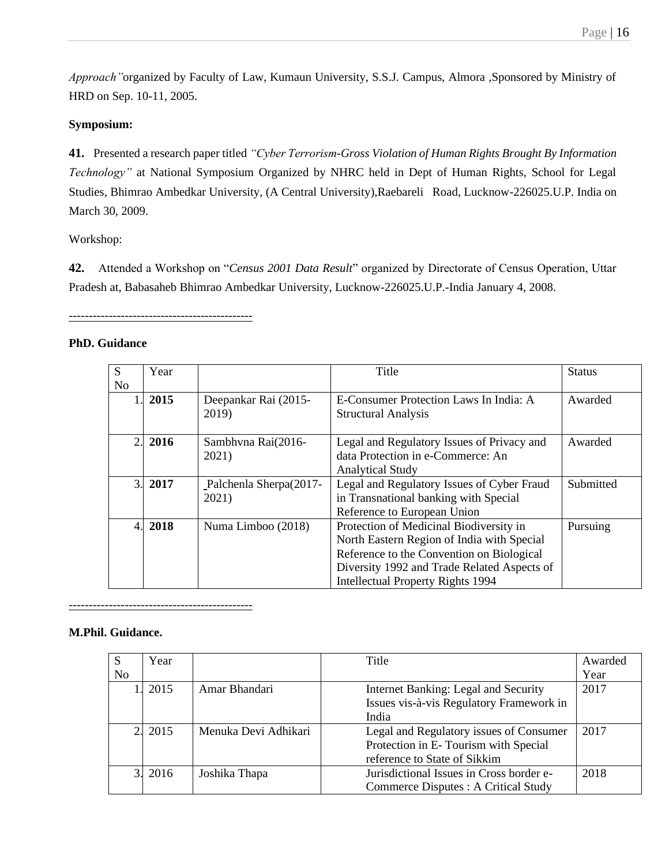*Approach"*organized by Faculty of Law, Kumaun University, S.S.J. Campus, Almora ,Sponsored by Ministry of HRD on Sep. 10-11, 2005.

# **Symposium:**

**41.** Presented a research paper titled *"Cyber Terrorism-Gross Violation of Human Rights Brought By Information Technology"* at National Symposium Organized by NHRC held in Dept of Human Rights, School for Legal Studies, Bhimrao Ambedkar University, (A Central University),Raebareli Road, Lucknow-226025.U.P. India on March 30, 2009.

Workshop:

**42.** Attended a Workshop on "*Census 2001 Data Result*" organized by Directorate of Census Operation, Uttar Pradesh at, Babasaheb Bhimrao Ambedkar University, Lucknow-226025.U.P.-India January 4, 2008.

----------------------------------------------

# **PhD. Guidance**

| S              | Year                         |                                 | Title                                                                                                                                                                                                                         | <b>Status</b> |
|----------------|------------------------------|---------------------------------|-------------------------------------------------------------------------------------------------------------------------------------------------------------------------------------------------------------------------------|---------------|
| N <sub>0</sub> |                              |                                 |                                                                                                                                                                                                                               |               |
|                | 1.2015                       | Deepankar Rai (2015-<br>2019)   | E-Consumer Protection Laws In India: A<br><b>Structural Analysis</b>                                                                                                                                                          | Awarded       |
|                | 2.2016                       | Sambhyna Rai(2016-<br>2021)     | Legal and Regulatory Issues of Privacy and<br>data Protection in e-Commerce: An<br><b>Analytical Study</b>                                                                                                                    | Awarded       |
|                | 3.2017                       | Palchenla Sherpa(2017-<br>2021) | Legal and Regulatory Issues of Cyber Fraud<br>in Transnational banking with Special<br>Reference to European Union                                                                                                            | Submitted     |
|                | 4.2018<br>Numa Limboo (2018) |                                 | Protection of Medicinal Biodiversity in<br>North Eastern Region of India with Special<br>Reference to the Convention on Biological<br>Diversity 1992 and Trade Related Aspects of<br><b>Intellectual Property Rights 1994</b> | Pursuing      |

----------------------------------------------

# **M.Phil. Guidance.**

| S              | Year    |                      | Title                                    | Awarded |
|----------------|---------|----------------------|------------------------------------------|---------|
| N <sub>0</sub> |         |                      |                                          | Year    |
|                | 2015    | Amar Bhandari        | Internet Banking: Legal and Security     | 2017    |
|                |         |                      | Issues vis-à-vis Regulatory Framework in |         |
|                |         |                      | India                                    |         |
|                | 2. 2015 | Menuka Devi Adhikari | Legal and Regulatory issues of Consumer  | 2017    |
|                |         |                      | Protection in E-Tourism with Special     |         |
|                |         |                      | reference to State of Sikkim             |         |
| 31             | 2016    | Joshika Thapa        | Jurisdictional Issues in Cross border e- | 2018    |
|                |         |                      | Commerce Disputes : A Critical Study     |         |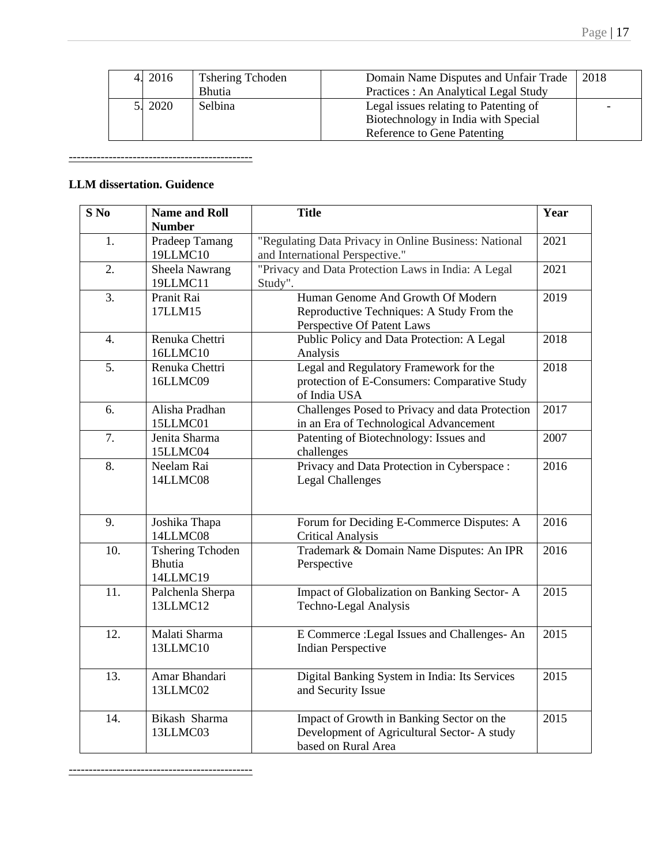| 4. 2016 | <b>Tshering Tchoden</b> | Domain Name Disputes and Unfair Trade | 2018 |
|---------|-------------------------|---------------------------------------|------|
|         | <b>Bhutia</b>           | Practices: An Analytical Legal Study  |      |
| 5. 2020 | <b>Selbina</b>          | Legal issues relating to Patenting of |      |
|         |                         | Biotechnology in India with Special   |      |
|         |                         | Reference to Gene Patenting           |      |

----------------------------------------------

# **LLM dissertation. Guidence**

| $S$ No<br><b>Name and Roll</b> |                                                      | <b>Title</b>                                                                                                   | Year |
|--------------------------------|------------------------------------------------------|----------------------------------------------------------------------------------------------------------------|------|
|                                | <b>Number</b>                                        |                                                                                                                |      |
| 1.                             | Pradeep Tamang<br>19LLMC10                           | "Regulating Data Privacy in Online Business: National<br>and International Perspective."                       | 2021 |
| 2.                             | Sheela Nawrang<br>19LLMC11                           | "Privacy and Data Protection Laws in India: A Legal<br>Study".                                                 | 2021 |
| 3.                             | Pranit Rai<br>17LLM15                                | Human Genome And Growth Of Modern<br>Reproductive Techniques: A Study From the<br>Perspective Of Patent Laws   | 2019 |
| $\overline{4}$ .               | Renuka Chettri<br>16LLMC10                           | Public Policy and Data Protection: A Legal<br>Analysis                                                         | 2018 |
| 5.                             | Renuka Chettri<br>16LLMC09                           | Legal and Regulatory Framework for the<br>protection of E-Consumers: Comparative Study<br>of India USA         | 2018 |
| 6.                             | Alisha Pradhan<br>15LLMC01                           | Challenges Posed to Privacy and data Protection<br>in an Era of Technological Advancement                      | 2017 |
| 7.                             | Jenita Sharma<br>15LLMC04                            | Patenting of Biotechnology: Issues and<br>challenges                                                           | 2007 |
| 8.                             | Neelam Rai<br>14LLMC08                               | Privacy and Data Protection in Cyberspace :<br><b>Legal Challenges</b>                                         | 2016 |
| 9.                             | Joshika Thapa<br>14LLMC08                            | Forum for Deciding E-Commerce Disputes: A<br><b>Critical Analysis</b>                                          | 2016 |
| 10.                            | <b>Tshering Tchoden</b><br><b>Bhutia</b><br>14LLMC19 | Trademark & Domain Name Disputes: An IPR<br>Perspective                                                        | 2016 |
| 11.                            | Palchenla Sherpa<br>13LLMC12                         | Impact of Globalization on Banking Sector-A<br>Techno-Legal Analysis                                           | 2015 |
| 12.                            | Malati Sharma<br>13LLMC10                            | E Commerce : Legal Issues and Challenges-An<br><b>Indian Perspective</b>                                       | 2015 |
| 13.                            | Amar Bhandari<br>13LLMC02                            | Digital Banking System in India: Its Services<br>and Security Issue                                            | 2015 |
| 14.                            | Bikash Sharma<br>13LLMC03                            | Impact of Growth in Banking Sector on the<br>Development of Agricultural Sector-A study<br>based on Rural Area | 2015 |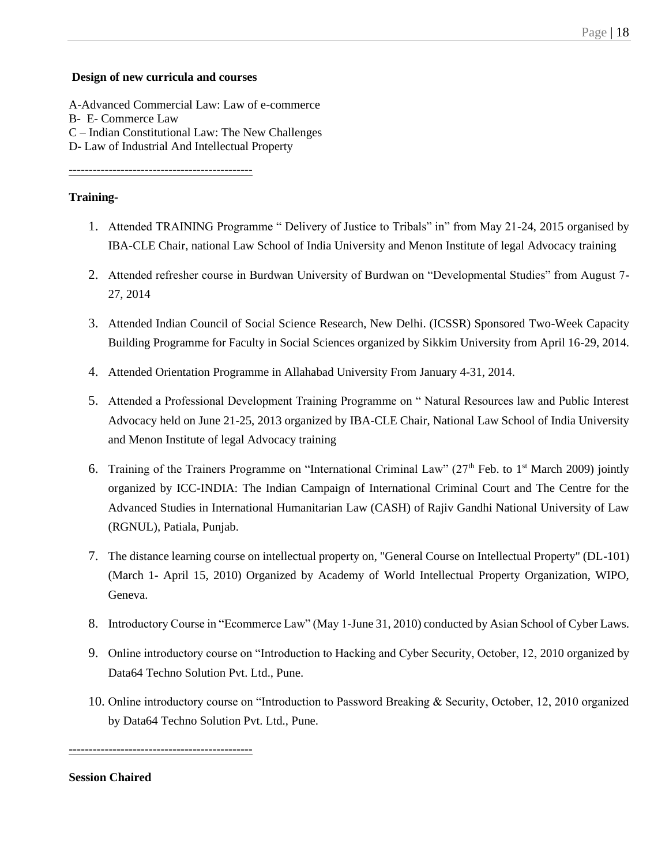## Page | 18

#### **Design of new curricula and courses**

A-Advanced Commercial Law: Law of e-commerce B- E- Commerce Law C – Indian Constitutional Law: The New Challenges D- Law of Industrial And Intellectual Property

----------------------------------------------

#### **Training-**

- 1. Attended TRAINING Programme " Delivery of Justice to Tribals" in" from May 21-24, 2015 organised by IBA-CLE Chair, national Law School of India University and Menon Institute of legal Advocacy training
- 2. Attended refresher course in Burdwan University of Burdwan on "Developmental Studies" from August 7- 27, 2014
- 3. Attended Indian Council of Social Science Research, New Delhi. (ICSSR) Sponsored Two-Week Capacity Building Programme for Faculty in Social Sciences organized by Sikkim University from April 16-29, 2014.
- 4. Attended Orientation Programme in Allahabad University From January 4-31, 2014.
- 5. Attended a Professional Development Training Programme on " Natural Resources law and Public Interest Advocacy held on June 21-25, 2013 organized by IBA-CLE Chair, National Law School of India University and Menon Institute of legal Advocacy training
- 6. Training of the Trainers Programme on "International Criminal Law" (27<sup>th</sup> Feb. to 1<sup>st</sup> March 2009) jointly organized by ICC-INDIA: The Indian Campaign of International Criminal Court and The Centre for the Advanced Studies in International Humanitarian Law (CASH) of Rajiv Gandhi National University of Law (RGNUL), Patiala, Punjab.
- 7. The distance learning course on intellectual property on, "General Course on Intellectual Property" (DL-101) (March 1- April 15, 2010) Organized by Academy of World Intellectual Property Organization, WIPO, Geneva.
- 8. Introductory Course in "Ecommerce Law" (May 1-June 31, 2010) conducted by Asian School of Cyber Laws.
- 9. Online introductory course on "Introduction to Hacking and Cyber Security, October, 12, 2010 organized by Data64 Techno Solution Pvt. Ltd., Pune.
- 10. Online introductory course on "Introduction to Password Breaking & Security, October, 12, 2010 organized by Data64 Techno Solution Pvt. Ltd., Pune.

**Session Chaired**

----------------------------------------------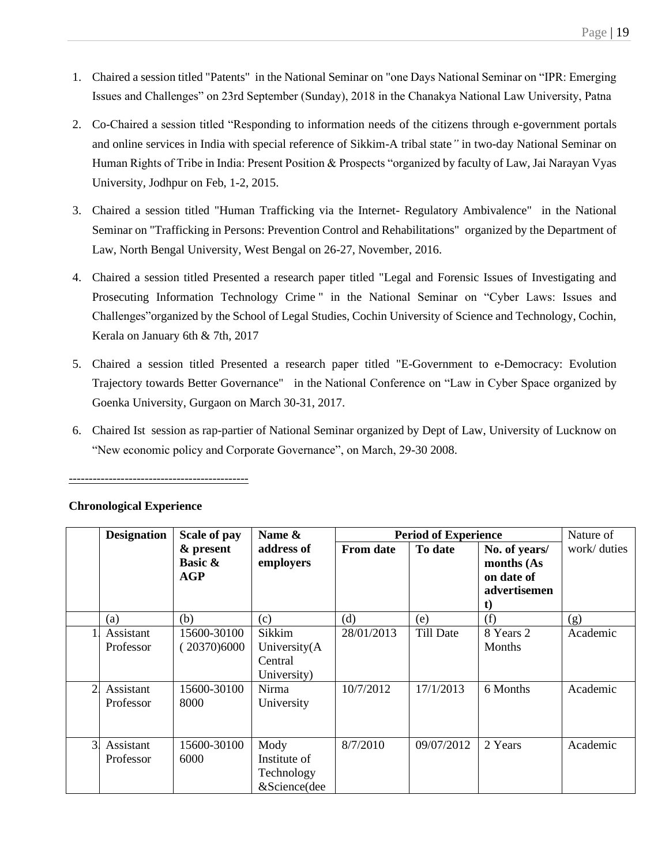- 1. Chaired a session titled "Patents" in the National Seminar on "one Days National Seminar on "IPR: Emerging Issues and Challenges" on 23rd September (Sunday), 2018 in the Chanakya National Law University, Patna
- 2. Co-Chaired a session titled "Responding to information needs of the citizens through e-government portals and online services in India with special reference of Sikkim-A tribal state*"* in two-day National Seminar on Human Rights of Tribe in India: Present Position & Prospects "organized by faculty of Law, Jai Narayan Vyas University, Jodhpur on Feb, 1-2, 2015.
- 3. Chaired a session titled "Human Trafficking via the Internet- Regulatory Ambivalence" in the National Seminar on "Trafficking in Persons: Prevention Control and Rehabilitations" organized by the Department of Law, North Bengal University, West Bengal on 26-27, November, 2016.
- 4. Chaired a session titled Presented a research paper titled "Legal and Forensic Issues of Investigating and Prosecuting Information Technology Crime " in the National Seminar on "Cyber Laws: Issues and Challenges"organized by the School of Legal Studies, Cochin University of Science and Technology, Cochin, Kerala on January 6th & 7th, 2017
- 5. Chaired a session titled Presented a research paper titled "E-Government to e-Democracy: Evolution Trajectory towards Better Governance" in the National Conference on "Law in Cyber Space organized by Goenka University, Gurgaon on March 30-31, 2017.
- 6. Chaired Ist session as rap-partier of National Seminar organized by Dept of Law, University of Lucknow on "New economic policy and Corporate Governance", on March, 29-30 2008.

|                | <b>Designation</b><br>Scale of pay |                                               | Name &                                             | <b>Period of Experience</b> |            |                                                                 | Nature of    |
|----------------|------------------------------------|-----------------------------------------------|----------------------------------------------------|-----------------------------|------------|-----------------------------------------------------------------|--------------|
|                |                                    | & present<br><b>Basic &amp;</b><br><b>AGP</b> | address of<br>employers                            | <b>From date</b>            | To date    | No. of years/<br>months (As<br>on date of<br>advertisemen<br>t) | work/ duties |
|                | (a)                                | (b)                                           | (c)                                                | (d)                         | (e)        | (f)                                                             | (g)          |
|                | Assistant<br>Professor             | 15600-30100<br>(20370)6000                    | Sikkim<br>University(A<br>Central<br>University)   | 28/01/2013                  | Till Date  | 8 Years 2<br>Months                                             | Academic     |
| $\overline{2}$ | Assistant<br>Professor             | 15600-30100<br>8000                           | Nirma<br>University                                | 10/7/2012                   | 17/1/2013  | 6 Months                                                        | Academic     |
| $\overline{3}$ | Assistant<br>Professor             | 15600-30100<br>6000                           | Mody<br>Institute of<br>Technology<br>&Science(dee | 8/7/2010                    | 09/07/2012 | 2 Years                                                         | Academic     |

# **Chronological Experience**

---------------------------------------------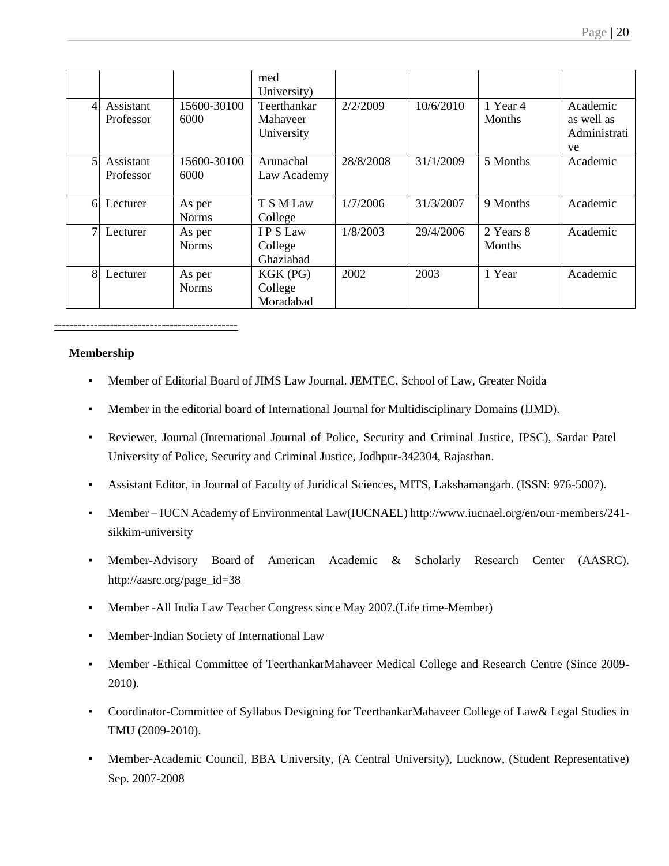|                |                        |                        | med<br>University)                    |           |           |                            |                                              |
|----------------|------------------------|------------------------|---------------------------------------|-----------|-----------|----------------------------|----------------------------------------------|
| $\overline{4}$ | Assistant<br>Professor | 15600-30100<br>6000    | Teerthankar<br>Mahaveer<br>University | 2/2/2009  | 10/6/2010 | 1 Year 4<br>Months         | Academic<br>as well as<br>Administrati<br>ve |
| 51             | Assistant<br>Professor | 15600-30100<br>6000    | Arunachal<br>Law Academy              | 28/8/2008 | 31/1/2009 | 5 Months                   | Academic                                     |
| 6.             | Lecturer               | As per<br><b>Norms</b> | T S M Law<br>College                  | 1/7/2006  | 31/3/2007 | 9 Months                   | Academic                                     |
| 7 <sup>1</sup> | Lecturer               | As per<br><b>Norms</b> | I P S Law<br>College<br>Ghaziabad     | 1/8/2003  | 29/4/2006 | 2 Years 8<br><b>Months</b> | Academic                                     |
| 8.             | Lecturer               | As per<br><b>Norms</b> | KGK (PG)<br>College<br>Moradabad      | 2002      | 2003      | 1 Year                     | Academic                                     |

#### **Membership**

- Member of Editorial Board of JIMS Law Journal. JEMTEC, School of Law, Greater Noida
- Member in the editorial board of International Journal for Multidisciplinary Domains (IJMD).
- Reviewer, Journal (International Journal of Police, Security and Criminal Justice, IPSC), Sardar Patel University of Police, Security and Criminal Justice, Jodhpur-342304, Rajasthan.
- Assistant Editor, in Journal of Faculty of Juridical Sciences, MITS, Lakshamangarh. (ISSN: 976-5007).
- Member IUCN Academy of Environmental Law(IUCNAEL) http://www.iucnael.org/en/our-members/241 sikkim-university
- Member-Advisory Board of American Academic & Scholarly Research Center (AASRC). [http://aasrc.org/page\\_id=38](http://aasrc.org/page_id=38)
- Member -All India Law Teacher Congress since May 2007.(Life time-Member)
- Member-Indian Society of International Law
- Member -Ethical Committee of TeerthankarMahaveer Medical College and Research Centre (Since 2009- 2010).
- Coordinator-Committee of Syllabus Designing for TeerthankarMahaveer College of Law& Legal Studies in TMU (2009-2010).
- Member-Academic Council, BBA University, (A Central University), Lucknow, (Student Representative) Sep. 2007-2008